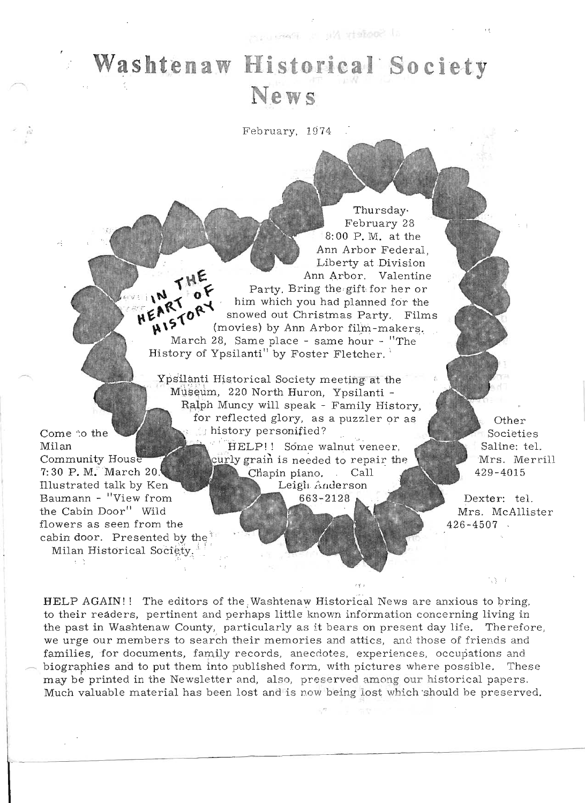al Society Mu statute un

February, 1974

Thursday. February 28  $8:00$  P.M. at the Ann Arbor Federal Liberty at Division THE Ann Arbor. Valentine Party. Bring the gift for her or  $0$ HEART HISTORY him which you had planned for the snowed out Christmas Party. Films (movies) by Ann Arbor film-makers. March 28, Same place - same hour - "The History of Ypsilanti<sup>"</sup> by Foster Fletcher.

Ypsilanti Historical Society meeting at the Museum, 220 North Huron, Ypsilanti -Ralph Muncy will speak - Family History, for reflected glory, as a puzzler or as history personified?

Come to the

 $\chi=5$ 

Community House

7:30 P. M. March  $20$ .

Illustrated talk by Ken

Baumann - "View from

flowers as seen from the

cabin door. Presented by the Milan Historical Society.<sup>3</sup>

the Cabin Door" Wild

Milan

HELP!! Some walnut veneer, curly grain is needed to repair the Chapin piano. Call Leigh Anderson 663-2128

Other Societies Saline: tel. Mrs. Merrill  $429 - 4015$ 

Dexter: tel. Mrs. McAllister  $426 - 4507$ 

73. P

HELP AGAIN!! The editors of the Washtenaw Historical News are anxious to bring. to their readers, pertinent and perhaps little known information concerning living in the past in Washtenaw County, particularly as it bears on present day life. Therefore, we urge our members to search their memories and attics, and those of friends and families, for documents, family records, anecdotes, experiences, occupations and biographies and to put them into published form, with pictures where possible. These may be printed in the Newsletter and, also, preserved among our historical papers. Much valuable material has been lost and is now being lost which should be preserved.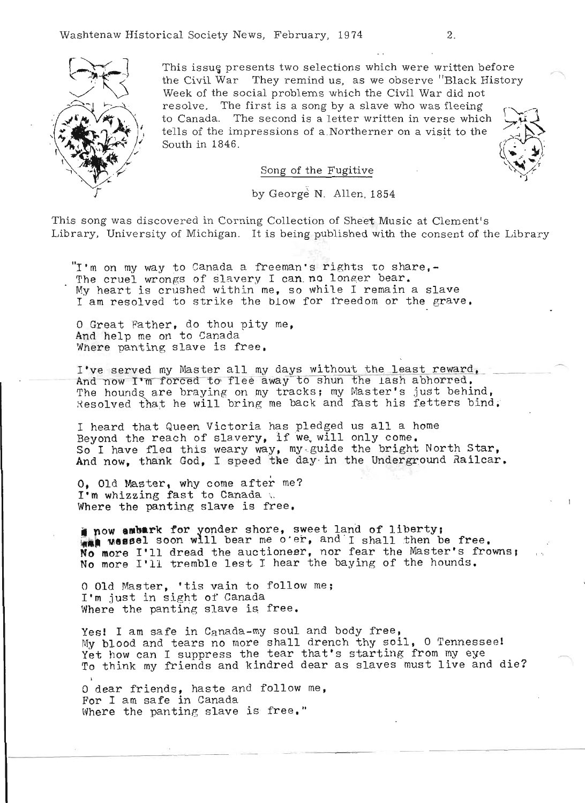

This issue presents two selections which were written before the Civil War They remind us, as we observe "Black History Week of the social problems which the Civil War did not resolve. The first is a song by a slave who was fleeing to Canada. The second is a letter written in verse which tells of the impressions of a Northerner on a visit to the South in 1846.



## Song of the Fugitive

by George N. Allen. 1854

This song was discovered in Corning Collection of Sheet Music at Clement's . Library, University of Michigan. It is being published with the consent of the Library

"I'm on my way to Canada a freeman's rights to share,-The cruel wrongs of slavery I can no longer bear. My heart is crushed within me, so while I remain a slave I am resolved to strike the blow for freedom or the grave.

O Great Father, do thou pity me, And help me on to Canada Where panting slave is free.

I've served my Master all my days without the least reward.<br>And now I'm forced to flee away to shun the lash abhorred. The hounds are braying on my tracks; my Master's just behind, Resolved that he will bring me back and fast his fetters bind.

I heard that Queen Victoria has pledged us all a home Beyond the reach of slavery, if we will only come. So I have flea this weary way, my guide the bright North Star, And now, thank God, I speed the day in the Underground Railcar.

O. Old Master, why come after me? I'm whizzing fast to Canada \.<br>Where the panting slave is free.

**1 now ambark for yonder shore, sweet land of liberty; <br><b>WAA** Wessel soon will bear me o'er, and I shall then be free. **A wessel soon will bear me o**'er, and I shall then be free.<br>Io more I'll dread the auctioneer, nor fear the Master's frowns; **To more I'll dread the auctioneer, nor fear the Master's fr**<br>No more I'll tremble lest I hear the baying of the hounds.

o Old Master, 'tis vain to follow me; I'm just in sight of Canada Where the panting slave is free.

Yes! I am safe in Canada-my soul and body free, My blood and tears no more shall drench thy soil, 0 Tennessee! Yet how can I suppress the tear that's starting from my eye To think my friends and kindred dear as slaves must live and die?

o dear friends, haste and follow me, For I am safe in Canada Where the panting slave is free."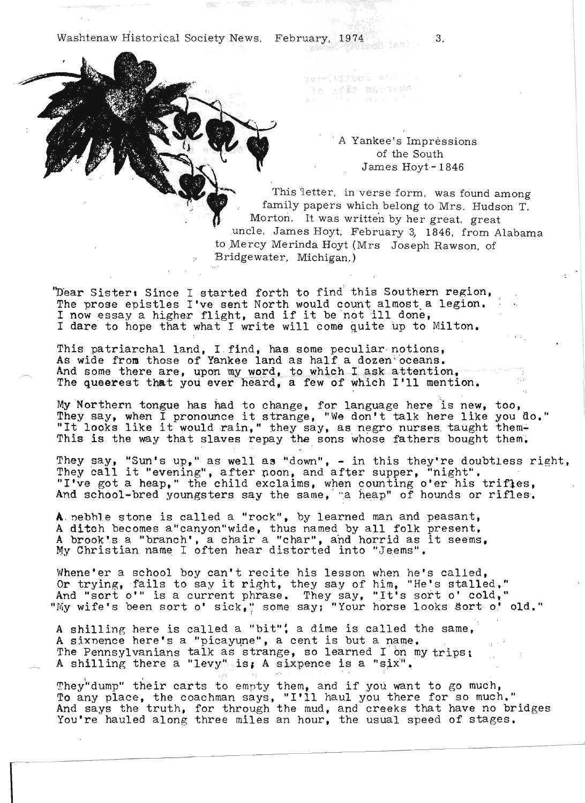Washtenaw Historical Society News. February, 1974 3.

warr, wirmed and. in afin musicine.

## , A  $\alpha$  Yankee's Impressions in the Impressions in the Impressions in the Impressions in the Impressions in the Impressions in the Impressions in the Impressions in the Impressions in the Impressions in the Impressions i e's impressi of the South<br>James Hoyt-1846

This iletter, in verse form. was found among Inis letter, in verse form, was found among family papers which belong to Mrs. Hudson T. Morton. It was written by her great, great uncle, James Hoyt, February 3, 1846, from Alabama to Mercy Merinda Hoyt (Mrs) Joseph Rawson, of Bridgewater, Michigan.)

<sup>1</sup>'D'ear Sister. Since I started forth to find' this Southern region, The prose epistles I've sent North to find this Southern region,<br>I now example it is not it be not it be not it in done, The prose epistles I've sent North would count almost a legion.<br>I now essay a higher flight, and if it be not ill done,<br>I dare to hope that what I write will come quite up to Milton.

This patriarchal land, I ,find, has some peculiar notions, his patriarchal land, I find, has some peculiar notions, wide from those of Yankee land as half a dozen oceans. And some there are, upon my word, to which I ask attention,<br>The queerest that you ever heard, a few of which I'll mention.

My Northern tongue has had to change, for language here 'is new, They say to the same to the end to change, for language here is new, too, Not their congue has had to change, for language here is new, to<br>ley say, when I pronounce it strange, "We don't talk here like you  $T$  the slaves in the would rain," they say, as negro nurses, taught that is solved in the say, as negro nurses, taught the  $\overline{O}_{\bullet}$  , we have  $\overline{O}_{\bullet}$ u do.  $t \in \mathfrak{m}$ 

is is the way that slaves repay the sons whose fathers bought them.<br>hey say, "Sun's up," as well as "down", - in this they're doubtless right,<br>hey call it "evening", after noon, and after supper, "night".<br>'ve got a heap," "I've got a heap," the child exclaims, when counting o'er his trifles,<br>And school-bred youngsters say the same, "a heap" of hounds or rifles.

A" nebhlestone is called a "rock", by learned man and peasant, nebble stone is called a "rock", by learned man and peasant,<br>ditch becomes a "canyon"wide, thus named by all folk present.<br>A brooking a "branch' and horrid as it seems" A ditch becomes a"canyon"wide, thus named by all folk present.<br>A brook's a "branch', a chair a "char", and horrid as it seems.<br>My Christian name I often hear distorted into "Jeems".

Vlhene'er a school boy can't recite his lesson when he's called, ene'er a school boy can't recite his lesson when he's called, trying, fails to say it right, they say of him, "He's stalled," nd "sort o'" is a current phrase. They say, "It's sort o' cold,"

 $\mathbf{A} \cdot \mathbf{A} \cdot \mathbf{A} \cdot \mathbf{A} \cdot \mathbf{A} \cdot \mathbf{A} \cdot \mathbf{A} \cdot \mathbf{A} \cdot \mathbf{A} \cdot \mathbf{A} \cdot \mathbf{A} \cdot \mathbf{A} \cdot \mathbf{A} \cdot \mathbf{A} \cdot \mathbf{A} \cdot \mathbf{A} \cdot \mathbf{A} \cdot \mathbf{A} \cdot \mathbf{A} \cdot \mathbf{A} \cdot \mathbf{A} \cdot \mathbf{A} \cdot \mathbf{A} \cdot \mathbf{A} \cdot \mathbf{A} \cdot \mathbf{A} \cdot \mathbf{A} \cdot \mathbf{$ shilling here is called a "bit"; a dime is called the same, A sixnence here's a "picayune", a cent is but a name. The Pennsylvanians talk as strange, so learned I on my trips:<br>A shilling there a "levy" is, A sixpence is a "six".

 $T_{\text{max}}$  and the second to  $T_{\text{max}}$  the second to go much, and if  $\alpha$  is gone want to go much, and if  $\alpha$  $T_{\text{ref}}$  and  $T_{\text{ref}}$  and  $T_{\text{ref}}$  and  $T_{\text{ref}}$  and  $T_{\text{ref}}$  was there for so much." To any place, the coachman says, "I'll haul you there for so much."<br>And says the truth, for through the mud, and creeks that have no bridges<br>You're hauled along three miles an hour, the usual speed of stages.

...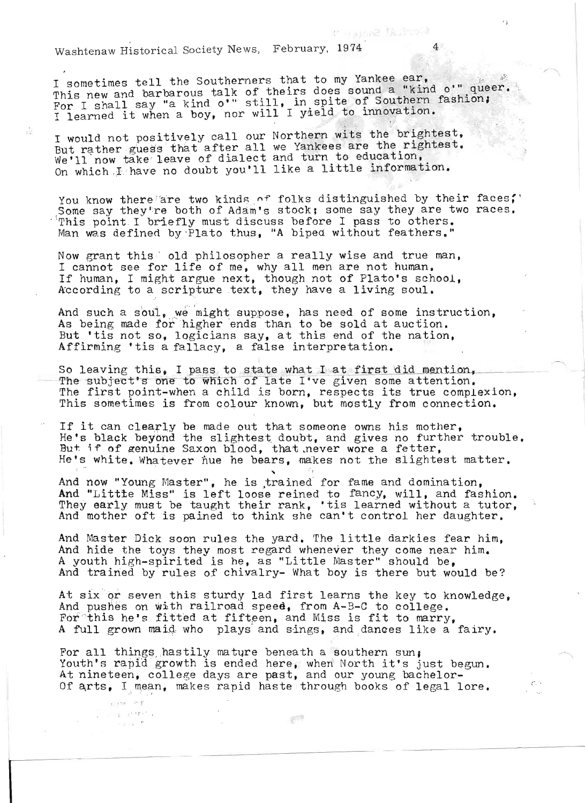$W_{\text{max}}$   $W_{\text{max}}$  Howa Echmony, 1974  $4$ 

 $\tilde{\Omega}$ 

In the set of  $\mathcal{D}_\mathcal{F}$  , we have the set of  $\mathcal{D}_\mathcal{F}$ 

I sometimes tell the Southerners that to my Yankee ear, sometimes tell the Southerners that to my Yankee ear,  $\frac{1}{2}$  and  $\frac{1}{2}$  and  $\frac{1}{2}$  and  $\frac{1}{2}$  and  $\frac{1}{2}$  and  $\frac{1}{2}$  and  $\frac{1}{2}$  and  $\frac{1}{2}$  and  $\frac{1}{2}$  and  $\frac{1}{2}$  and  $\frac{1}{2}$  and  $\frac{1}{2}$  and Some times coil the box talk of theirs does sound a "kind o'" queer<br>his new and barbarous talk of theirs does southern fashion; Its hew and barbus sard o'" still, in spite of Southern fand I say "a kind o'" still, in spite of Southern fa

 $\sum_{i=1}^{n}$  with  $\sum_{i=1}^{n}$  our Northern wits the brightest, would not positively call our Northern wits the brightest. But rather guess that after all we Yankees are the rightest. We'll now take leave of dialect and turn to education,<br>On which I have no doubt you'll like a little information.

You know there are two kinds of folks distinguished by their faces,' Some say they're both of Adam's stock; some say they are two races. This point I briefly must discuss before I pass to others.<br>Man was defined by Plato thus. "A biped without feathers."

Now grant this'- old philosopher a really wise and true man, I cannot this old philosopher a really wise and true man are not human. I cannot see for life of me, why all men are not human. If human, I might argue next, though not of Plato's school, According to a scripture text, they have a living soul.

 $\overline{A}$  such a souting  $\overline{A}$  might, suppose, has need of some instruction, Ad such a soul, we might suppose, has need of some instruction. As being made for higher ends than to be sold at auction. But 'tis not so, logicians say, at this end of the nation,<br>Affirming 'tis a fallacy, a false interpretation.

ffirming 'tis a fallacy, a false interpretation.<br>n leaving this, I pass to state what I at first did mention. p leaving this, I pass to state what I at first did mention, he subject's one to which of late I've given some attention.<br>he first point-when 2 child is born, respects its true complexion. he first point-when a child is born, respects its true complexion.<br>Dis demotimes is from colour known, but mostly from connection.

If it can clearly be made out that someone owns his mother, f it can clearly be made out that someone owns his mother,<br>Ns black beyond the slightest doubt, and gives no further trouble. He's black beyond the slightest doubt, and gives no further trouble. But if of genuine Saxon blood, that never wore a fetter,<br>He's white. Whatever hue he bears, makes not the slightest matter.

And now "Young Master", he is ,trained for fame and domination, And now "Young Master", he is trained for fame and domination,<br>ad "Littte Miss" is left loose reined to fancy, will, and fashion. nd "Little Miss" is left loose reined to fancy, will, and fashion.<br>hey early must be taught their rank, 'tis learned without a tutor. They early must be taught their rank, 'tis learned without a tutor, And mother oft is pained to think she can't control her daughter.

And Master Dick soon rules the yard. 'rhe 1 i ttle darkies fear him, nd Master Dick soon rules the yard. The little darkies fear him,<br>ad hide the toys they mest regard whenever they come near him. And hide the toys they most regard whenever they come near him. A youth high-spirited is he, as "Little Master" should be,<br>And trained by rules of chivalry- What boy is there but would be?

 $\frac{1}{2}$  six or seven this sturdy lad first learns the key to knowledge. t six or seven this sturdy lad first learns the key to know that is a selling on with railroad speed. from A-B-C to college. And pushes on with railroad speed, from A-B-C to college. For this he's fitted at fifteen, and Miss is fit to marry.<br>A full grown maid who plays and sings, and dances like a fairy.

 $F^{(n)}$ pr all things hastily mature beneath a southern sun, Youth's rapid growth is ended here, when North it's just begun.<br>At nineteen, college days are past, and our young bachelor-Of arts, I mean, makes rapid haste through books of legal lore.

 $\sqrt{2}$ 

26.95

 $\approx 10^{-12}$ 

Website  $\tau = \left\{ \begin{array}{cc} \tau^{\pm} \left( \Psi \right) \end{array} \right.$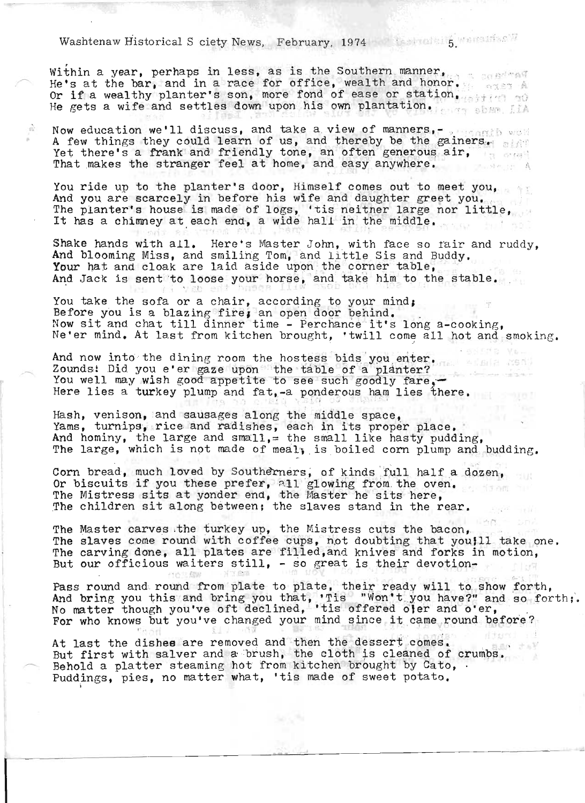## $W$ ashtenaw Historical S ciety News, February, 1974 and the matrix of  $W$

Within a year, perhaps in less, as is the Southern manner. He's at the bar, and in a race for office, wealth and honor. le's at the bar, and in a race for office, wealth and honor.<br>Ir if a wealthy planter's son, more fond of ease or station.<br>le gets a wife and settles down upon his own plantation.

Now education we'll discuss, and take a view of manners,- , .,,,,,,, would A few things they could learn of us, and thereby be the gainers. Yet there's a frank and friendly tone, an often generous air,

 $\hat{\Omega}$ 

You ride up to the planter's door, Himself comes out to meet you, ou ride up to the planter's door, himself comes out to meet you,<br>Ind you are scarcely in before his wife and daughter greet you.<br>The planter's house is made of logs, 'tis neither large nor little. 'he planter's house is made of logs, 'tis neither large n<br>t has a chimnev at each end. a wide hall in the middle.

Shake hands with all. Here's Master John, with face so fair and ruddy, And blooming Miss, and smiling Tom, and little Sis and Buddy. Your hat and cloak are laid aside upon the corner table, And Jack is sent to loose your horse, and take him to the stable.

You take the sofa or a chair, according to your mind, Before you is a blazing fire, an open door behind.<br>Now sit and chat till dinner time - Perchance it's long a-cooking, nocking.<br>Ne'er mind. At last from kitchen brought, 'twill come all hot and smoking.

And now into the dining room the hostess bids you enter. The same counds: Did you e'er gaze upon the table of a planter? Zounds: Did you e'er gaze upon the table of a planter:<br>You well may wish good appetite to see such goodly fare,-<br>Here lies a turkey plump and fat, -a ponderous ham lies there.

Hash, venison, and sausages along the middle space, Yams, turnips, rice and radishes, each in its proper place. And hominy, the large and small, = the small like hasty pudding, The large, which is not made of meal, is boiled corn plump and budding.

Corn bread, much loved by Southerners, of kinds full half a dozen, Or biscuits if you these prefer, all glowing from the oven. The Mistress sits at yonder end, the Master he sits here, The children sit along between; the slaves stand in the rear.

The Master carves .the turkey up, the Mistress cuts the bacon, ne master carves the turkey up, the mistress cuts the oacon,<br>he slaves come round with coffee cups, not doubting that you!11 take one, The slaves come round with coffee cups, not doubting that you!II take on<br>The carving done, all plates are filled,and knives and forks in motion,<br>But our officious waiters still, - so great is their devotion-

Pass round and round from plate to plate, their ready will to show forth, And bring you this and bring you that, 'Tis "Won't you have?" and so forth;.<br>No matter though you've oft declined, 'tis offered ofer and o'er,<br>For who knows but you've changed your mind since it came round before?

At last the dishes are removed and then the dessert comes.<br>ht first with salver and a brush, the cloth is cleaned of crumbs. ut first with salver and a prush, the cloth is cleaned of c<br>whold a platter steaming hot from kitchen brought by Cato, Behold a platter steaming hot from kitchen brought by Cato, .<br>Puddings, pies, no matter what, 'tis made of sweet potato.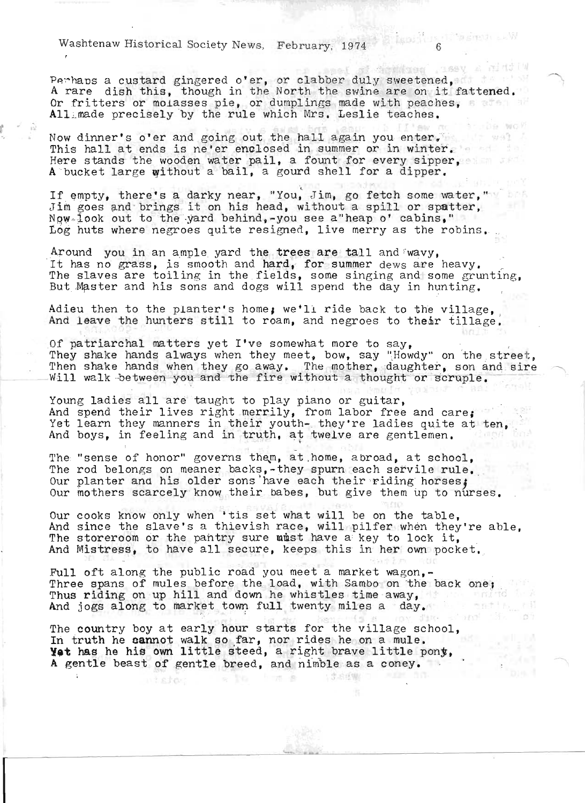Washtenaw Historical Society News, February, 1974

Perhaps a custard gingered o'er, or clabber duly sweetened, ... ermaps a custard gingered over, or clabber duly sweetened,<br>A rare dish this, though in the North the swine are on it fattened. Or fritters or molasses pie, or dumplings made with peaches, All made precisely by the rule which Mrs. Leslie teaches.

> $124.9000$ hit wal A

Now dinner's o'er and going out the hall again you enter.<br>This hall at ends is ne'er enclosed in summer or in winter. rnis hait at enus is he er encrosed in summer of in winter.<br>Tere stands the wooden water pail, a fount for every sipper, ere stands the wooden water pail, a fount for every sipper.<br>A bucket large without a bail, a gourd shell for a dipper.

If empty, there's a darky near, "You, Jim, go fetch some water," Jim goes and brings it on his head, without a spill or spatter, Now look out to the yard behind, -you see a heap o' cabins," tog huts where negroes quite resigned, live merry as the robins.

Around you in an ample yard the trees are tall and wavy, It has no grass, is smooth and hard, for summer dews are heavy.<br>The slaves are toiling in the fields, some singing and some grunting, But Master and his sons and dogs will spend the day in hunting.

Adieu then to the planter's home, we'll ride back to the village, ,<br>And leave the hunters still to roam, and negroes to thear tillage,

Of patriarchal matters yet I've somewhat more to say,<br>They shake hands always when they meet, bow, say "Howdy" on the street,<br>Then shake hands when they go away. The mother, daughter, son and sire<br>Will walk between you and

Young ladies all are taught to play piano or guitar, And spend their lives right merrily, from labor free and care; Yet learn they manners in their youth- they're ladies quite at ten, ret learn tney manners in their youth- they're ladies quite a<br>\nd boys, in feeling and in truth, at twelve are gentlemen.  $\ddot{r}$ 

The "sense of honor" governs them, at home, abroad, at school, The rod belongs on meaner backs,-they spurn each servile rule. Our planter and his older sons have each their riding horses: Our mothers scarcely know their babes, but give them up to nurses.

Our cooks know only when 'tis set what will be on the table,<br>And since the slave's a thievish race, will pilfer when they're able, The storeroom or the pantry sure must have a key to lock it. And Mistress, to have all secure, keeps this in her own pocket.

tull oft along the public road you meet a market wagon.-Three spans of mules before the load, with Sambo on the back one; Thus riding on up hill and down he whistles time away, the control of And jogs along to market town full twenty miles a day.

a 13-84W 7 FEM 50

The country boy at early hour starts for the village school, In truth he cannot walk so far, nor rides he on a mule. In truth he **can**not walk so far, nor rides he on a mule.<br>**[et** has he his own little steed, a right brave little pony, A gentle beast of gentle breed, and nimble as a coney.

**Nista** 

Friends.

 $\sim$  , ,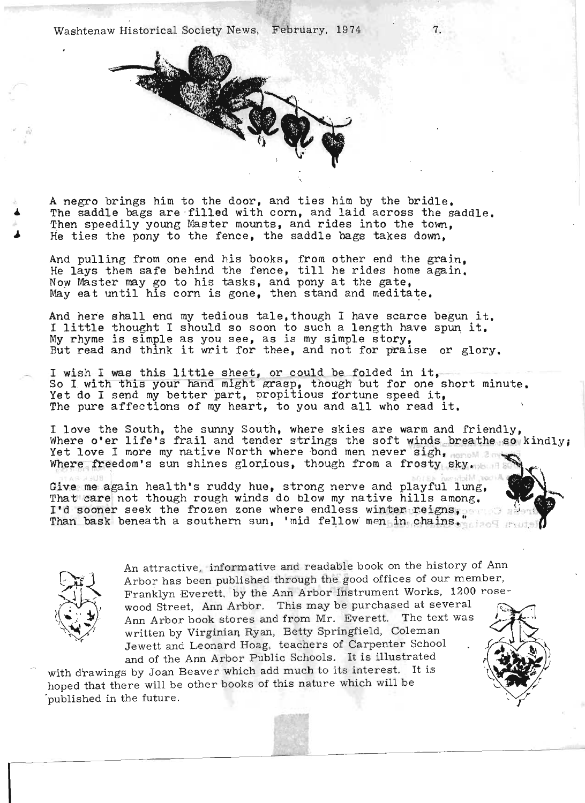Washtenaw Historical Society News, February, 1974.



A negro brings him to the door, and ties him by the bridle. negro brings him to the door, and ties him by the bridle.<br>as saddle bags are filled with corn, and laid across the saddle. The saddle bags are filled with corn, and laid across the saddle, Then speedily young Master mounts, and rides into the town, He ties the pony to the fence, the saddle bags takes down,

nd pulling from one end his books, from other end the grain,<br>A lays them safe behind the fence, till he rides home again. He lavs them safe behind the fence, till he rides home again. Now Master may go to his tasks, and pony at the gate, May eat until his corn is gone, then stand and meditate.

And here shall end my tedious tale, though I have scarce begun it. I have some shall end my tedious tale, though I have scarce begun it. I little thought I should so soon to such a length have spun it. My rhyme is simple as you see, as is my simple story,<br>But read and think it writ for thee, and not for praise or glory.

 $\mathbf{v}$  wish I was this little sheet, or could be folded in it, wish I was this little sheet, or could be folded in it,<br>a I with this your band might grasp, though but for one short minute. So I with this your hand might grasp, though but for one short minute. Yet do I send my better part, propitious fortune speed it,<br>The pure affections of my heart, to you and all who read it.

love the South, the sunny South, where skies are warm and friendly,<br>Name o'er life's frail and tender strings the soft winds breathe so kindly; here o'er life's frail and tender strings the soft winds br<br>hat love I more my native North where hand men never sigh, Yet love I more my native North where bond men never sigh, north and Where freedom's sun shines glorious, though from a frosty sky.

Give · me again health's ruddy hue, strong nerve and playful lung, ive me again health's ruddy hue, strong nerve and playful lung,<br>patieses not though rough winds do blow my native hills among. That care not though rough winds do blow my native hills among.<br>I'd sooner seek the frozen zone where endless winter reigns, where a southern sun, 'mid fellow' men in, chains.,...



 $\ddot{a}$  and  $\ddot{a}$  and readable book on the history of Ann has a first here into the good offices of our member, he can be the good offices of our member, Arbor has been published through the good offices of our member,<br>Franklyn Everett, by the Ann Arbor Instrument Works, 1200 roseranklyn Everett, by the Ann Arbor instrument works, 1200 1050 Ann Arbor book stores and from Mr. Everett. The text was I -,' ~' , Ann Arbor book stores and from Mr. Everett. The text was written by Virginian Ryan, Betty Springfield, Coleman<br>Jewett and Leonard Hoag, teachers of Carpenter School

and of the Ann Arbor Public Schools. It is illustrated .'.~ ': with d~awings by Joan Beaver which add much to its interest. It is ' 1 .' -"i ,,' with drawings by Joan Beaver which add much to its interest. It is hoped that there will be other books of this nature which will be *published in the future*.